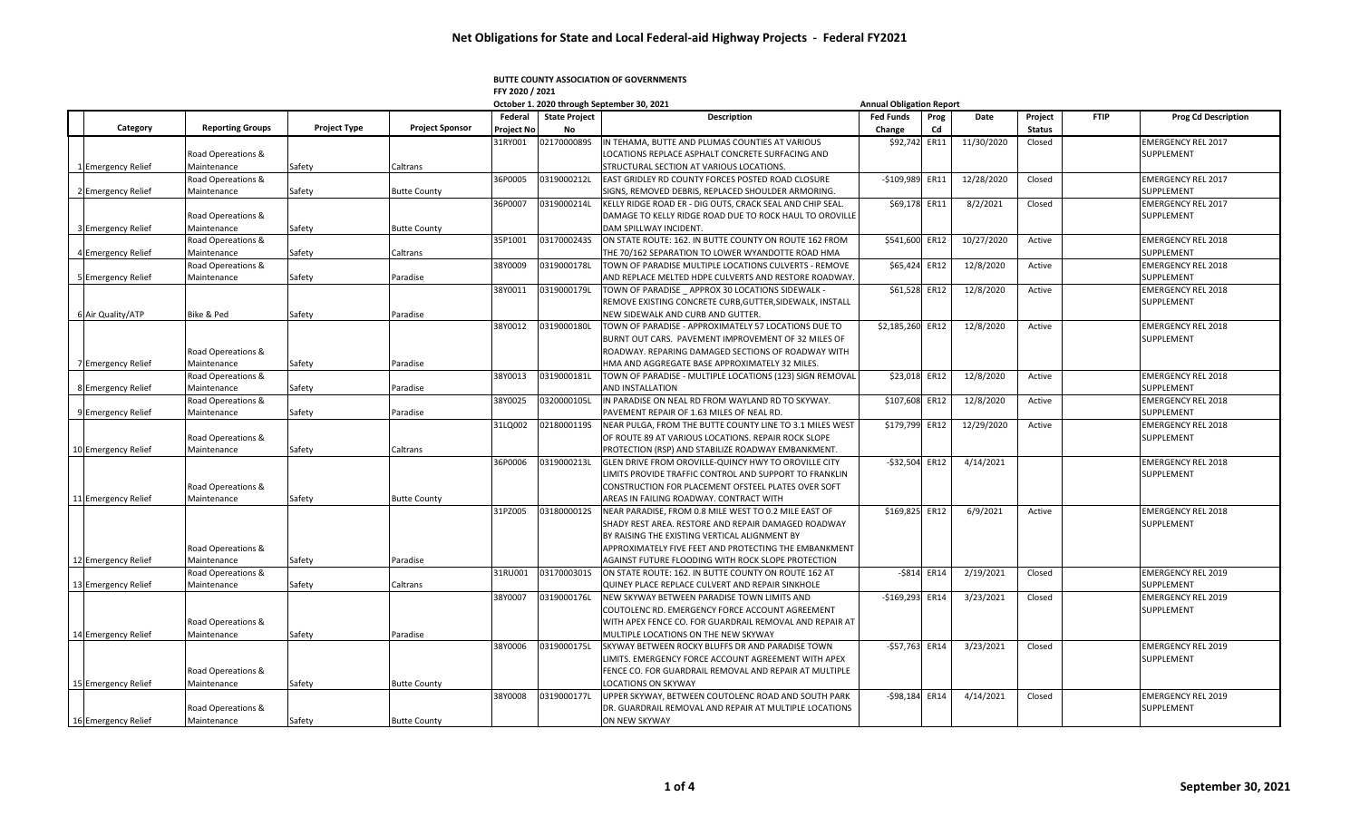## **BUTTE COUNTY ASSOCIATION OF GOVERNMENTS FFY 2020 / 2021**

|                     |                         |                     |                        |                       |                            | October 1. 2020 through September 30, 2021                | <b>Annual Obligation Report</b> |             |            |                          |             |                            |
|---------------------|-------------------------|---------------------|------------------------|-----------------------|----------------------------|-----------------------------------------------------------|---------------------------------|-------------|------------|--------------------------|-------------|----------------------------|
| Category            | <b>Reporting Groups</b> | <b>Project Type</b> | <b>Project Sponsor</b> | Federal<br>Project No | <b>State Project</b><br>No | <b>Description</b>                                        | <b>Fed Funds</b><br>Change      | Prog<br>Cd  | Date       | Project<br><b>Status</b> | <b>FTIP</b> | <b>Prog Cd Description</b> |
|                     |                         |                     |                        | 31RY001               | 0217000089S                | IN TEHAMA, BUTTE AND PLUMAS COUNTIES AT VARIOUS           | \$92,742 ER11                   |             | 11/30/2020 | Closed                   |             | <b>EMERGENCY REL 2017</b>  |
|                     | Road Opereations &      |                     |                        |                       |                            | LOCATIONS REPLACE ASPHALT CONCRETE SURFACING AND          |                                 |             |            |                          |             | SUPPLEMENT                 |
| 1 Emergency Relief  | Maintenance             | Safety              | Caltrans               |                       |                            | STRUCTURAL SECTION AT VARIOUS LOCATIONS.                  |                                 |             |            |                          |             |                            |
|                     | Road Opereations &      |                     |                        | 36P0005               | 0319000212L                | EAST GRIDLEY RD COUNTY FORCES POSTED ROAD CLOSURE         | $-$109,989$                     | ER11        | 12/28/2020 | Closed                   |             | <b>EMERGENCY REL 2017</b>  |
| 2 Emergency Relief  | Maintenance             | Safety              | <b>Butte County</b>    |                       |                            | SIGNS, REMOVED DEBRIS, REPLACED SHOULDER ARMORING.        |                                 |             |            |                          |             | SUPPLEMENT                 |
|                     |                         |                     |                        | 36P0007               | 0319000214L                | KELLY RIDGE ROAD ER - DIG OUTS, CRACK SEAL AND CHIP SEAL. | \$69,178                        | ER11        | 8/2/2021   | Closed                   |             | <b>EMERGENCY REL 2017</b>  |
|                     | Road Opereations &      |                     |                        |                       |                            | DAMAGE TO KELLY RIDGE ROAD DUE TO ROCK HAUL TO OROVILLE   |                                 |             |            |                          |             | SUPPLEMENT                 |
| 3 Emergency Relief  | Maintenance             | Safety              | <b>Butte County</b>    |                       |                            | DAM SPILLWAY INCIDENT.                                    |                                 |             |            |                          |             |                            |
|                     | Road Opereations &      |                     |                        | 35P1001               | 0317000243S                | ON STATE ROUTE: 162. IN BUTTE COUNTY ON ROUTE 162 FROM    | \$541,600                       | ER12        | 10/27/2020 | Active                   |             | <b>EMERGENCY REL 2018</b>  |
| 4 Emergency Relief  | Maintenance             | Safety              | Caltrans               |                       |                            | THE 70/162 SEPARATION TO LOWER WYANDOTTE ROAD HMA         |                                 |             |            |                          |             | SUPPLEMENT                 |
|                     | Road Opereations &      |                     |                        | 38Y0009               | 0319000178L                | TOWN OF PARADISE MULTIPLE LOCATIONS CULVERTS - REMOVE     | \$65,42                         | ER12        | 12/8/2020  | Active                   |             | <b>EMERGENCY REL 2018</b>  |
| 5 Emergency Relief  | Maintenance             | Safety              | Paradise               |                       |                            | AND REPLACE MELTED HDPE CULVERTS AND RESTORE ROADWAY.     |                                 |             |            |                          |             | SUPPLEMENT                 |
|                     |                         |                     |                        | 38Y0011               | 0319000179L                | TOWN OF PARADISE APPROX 30 LOCATIONS SIDEWALK -           | \$61,528                        | ER12        | 12/8/2020  | Active                   |             | <b>EMERGENCY REL 2018</b>  |
|                     |                         |                     |                        |                       |                            | REMOVE EXISTING CONCRETE CURB, GUTTER, SIDEWALK, INSTALL  |                                 |             |            |                          |             | SUPPLEMENT                 |
| 6 Air Quality/ATP   | Bike & Ped              | Safety              | Paradise               |                       |                            | NEW SIDEWALK AND CURB AND GUTTER.                         |                                 |             |            |                          |             |                            |
|                     |                         |                     |                        | 38Y0012               | 03190001801                | TOWN OF PARADISE - APPROXIMATELY 57 LOCATIONS DUE TO      | \$2,185,260 ER12                |             | 12/8/2020  | Active                   |             | <b>EMERGENCY REL 2018</b>  |
|                     |                         |                     |                        |                       |                            | BURNT OUT CARS. PAVEMENT IMPROVEMENT OF 32 MILES OF       |                                 |             |            |                          |             | SUPPLEMENT                 |
|                     | Road Opereations &      |                     |                        |                       |                            | ROADWAY. REPARING DAMAGED SECTIONS OF ROADWAY WITH        |                                 |             |            |                          |             |                            |
| 7 Emergency Relief  | Maintenance             | Safety              | Paradise               |                       |                            | HMA AND AGGREGATE BASE APPROXIMATELY 32 MILES.            |                                 |             |            |                          |             |                            |
|                     | Road Opereations &      |                     |                        | 38Y0013               | 0319000181L                | TOWN OF PARADISE - MULTIPLE LOCATIONS (123) SIGN REMOVAL  | \$23,018                        | ER12        | 12/8/2020  | Active                   |             | <b>EMERGENCY REL 2018</b>  |
| 8 Emergency Relief  | Maintenance             | Safety              | Paradise               |                       |                            | <b>AND INSTALLATION</b>                                   |                                 |             |            |                          |             | SUPPLEMENT                 |
|                     | Road Opereations &      |                     |                        | 38Y0025               | 03200001051                | IN PARADISE ON NEAL RD FROM WAYLAND RD TO SKYWAY.         | \$107,608                       | <b>ER12</b> | 12/8/2020  | Active                   |             | <b>EMERGENCY REL 2018</b>  |
| 9 Emergency Relief  | Maintenance             | Safety              | Paradise               |                       |                            | PAVEMENT REPAIR OF 1.63 MILES OF NEAL RD                  |                                 |             |            |                          |             | SUPPLEMENT                 |
|                     |                         |                     |                        | 31LQ002               | 0218000119S                | NEAR PULGA, FROM THE BUTTE COUNTY LINE TO 3.1 MILES WEST  | \$179,799                       | ER12        | 12/29/2020 | Active                   |             | <b>EMERGENCY REL 2018</b>  |
|                     | Road Opereations &      |                     |                        |                       |                            | OF ROUTE 89 AT VARIOUS LOCATIONS. REPAIR ROCK SLOPE       |                                 |             |            |                          |             | SUPPLEMENT                 |
| 10 Emergency Relief | Maintenance             | Safety              | Caltrans               |                       |                            | PROTECTION (RSP) AND STABILIZE ROADWAY EMBANKMENT.        |                                 |             |            |                          |             |                            |
|                     |                         |                     |                        | 36P0006               | 0319000213L                | GLEN DRIVE FROM OROVILLE-QUINCY HWY TO OROVILLE CITY      | $-$32,504$                      | ER12        | 4/14/2021  |                          |             | <b>EMERGENCY REL 2018</b>  |
|                     |                         |                     |                        |                       |                            | LIMITS PROVIDE TRAFFIC CONTROL AND SUPPORT TO FRANKLIN    |                                 |             |            |                          |             | SUPPLEMENT                 |
|                     | Road Opereations &      |                     |                        |                       |                            | CONSTRUCTION FOR PLACEMENT OFSTEEL PLATES OVER SOFT       |                                 |             |            |                          |             |                            |
| 11 Emergency Relief | Maintenance             | Safety              | <b>Butte County</b>    |                       |                            | AREAS IN FAILING ROADWAY. CONTRACT WITH                   |                                 |             |            |                          |             |                            |
|                     |                         |                     |                        | 31PZ005               | 0318000012S                | NEAR PARADISE, FROM 0.8 MILE WEST TO 0.2 MILE EAST OF     | \$169,825                       | ER12        | 6/9/2021   | Active                   |             | <b>EMERGENCY REL 2018</b>  |
|                     |                         |                     |                        |                       |                            | SHADY REST AREA. RESTORE AND REPAIR DAMAGED ROADWAY       |                                 |             |            |                          |             | SUPPLEMENT                 |
|                     |                         |                     |                        |                       |                            | BY RAISING THE EXISTING VERTICAL ALIGNMENT BY             |                                 |             |            |                          |             |                            |
|                     | Road Opereations &      |                     |                        |                       |                            | APPROXIMATELY FIVE FEET AND PROTECTING THE EMBANKMENT     |                                 |             |            |                          |             |                            |
| 12 Emergency Relief | Maintenance             | Safety              | Paradise               |                       |                            | AGAINST FUTURE FLOODING WITH ROCK SLOPE PROTECTION        |                                 |             |            |                          |             |                            |
|                     | Road Opereations &      |                     |                        | 31RU001               | 0317000301S                | ON STATE ROUTE: 162. IN BUTTE COUNTY ON ROUTE 162 AT      | $-5814$                         | ER14        | 2/19/2021  | Closed                   |             | <b>EMERGENCY REL 2019</b>  |
| 13 Emergency Relief | Maintenance             | Safety              | Caltrans               |                       |                            | QUINEY PLACE REPLACE CULVERT AND REPAIR SINKHOLE          |                                 |             |            |                          |             | SUPPLEMENT                 |
|                     |                         |                     |                        | 38Y0007               | 0319000176L                | NEW SKYWAY BETWEEN PARADISE TOWN LIMITS AND               | $-$169,293$                     | ER14        | 3/23/2021  | Closed                   |             | <b>EMERGENCY REL 2019</b>  |
|                     |                         |                     |                        |                       |                            | COUTOLENC RD. EMERGENCY FORCE ACCOUNT AGREEMENT           |                                 |             |            |                          |             | SUPPLEMENT                 |
|                     | Road Opereations &      |                     |                        |                       |                            | WITH APEX FENCE CO. FOR GUARDRAIL REMOVAL AND REPAIR AT   |                                 |             |            |                          |             |                            |
| 14 Emergency Relief | Maintenance             | Safety              | Paradise               |                       |                            | MULTIPLE LOCATIONS ON THE NEW SKYWAY                      |                                 |             |            |                          |             |                            |
|                     |                         |                     |                        | 38Y0006               | 0319000175L                | SKYWAY BETWEEN ROCKY BLUFFS DR AND PARADISE TOWN          | $-$57,763$                      | ER14        | 3/23/2021  | Closed                   |             | <b>EMERGENCY REL 2019</b>  |
|                     |                         |                     |                        |                       |                            | LIMITS. EMERGENCY FORCE ACCOUNT AGREEMENT WITH APEX       |                                 |             |            |                          |             | SUPPLEMENT                 |
|                     | Road Opereations &      |                     |                        |                       |                            | FENCE CO. FOR GUARDRAIL REMOVAL AND REPAIR AT MULTIPLE    |                                 |             |            |                          |             |                            |
| 15 Emergency Relief | Maintenance             | Safety              | <b>Butte County</b>    |                       |                            | LOCATIONS ON SKYWAY                                       |                                 |             |            |                          |             |                            |
|                     |                         |                     |                        | 38Y0008               | 03190001771                | UPPER SKYWAY, BETWEEN COUTOLENC ROAD AND SOUTH PARK       | $-598,184$                      | ER14        | 4/14/2021  | Closed                   |             | <b>EMERGENCY REL 2019</b>  |
|                     | Road Opereations &      |                     |                        |                       |                            | DR. GUARDRAIL REMOVAL AND REPAIR AT MULTIPLE LOCATIONS    |                                 |             |            |                          |             | SUPPLEMENT                 |
| 16 Emergency Relief | Maintenance             | Safety              | <b>Butte County</b>    |                       |                            | <b>ON NEW SKYWAY</b>                                      |                                 |             |            |                          |             |                            |
|                     |                         |                     |                        |                       |                            |                                                           |                                 |             |            |                          |             |                            |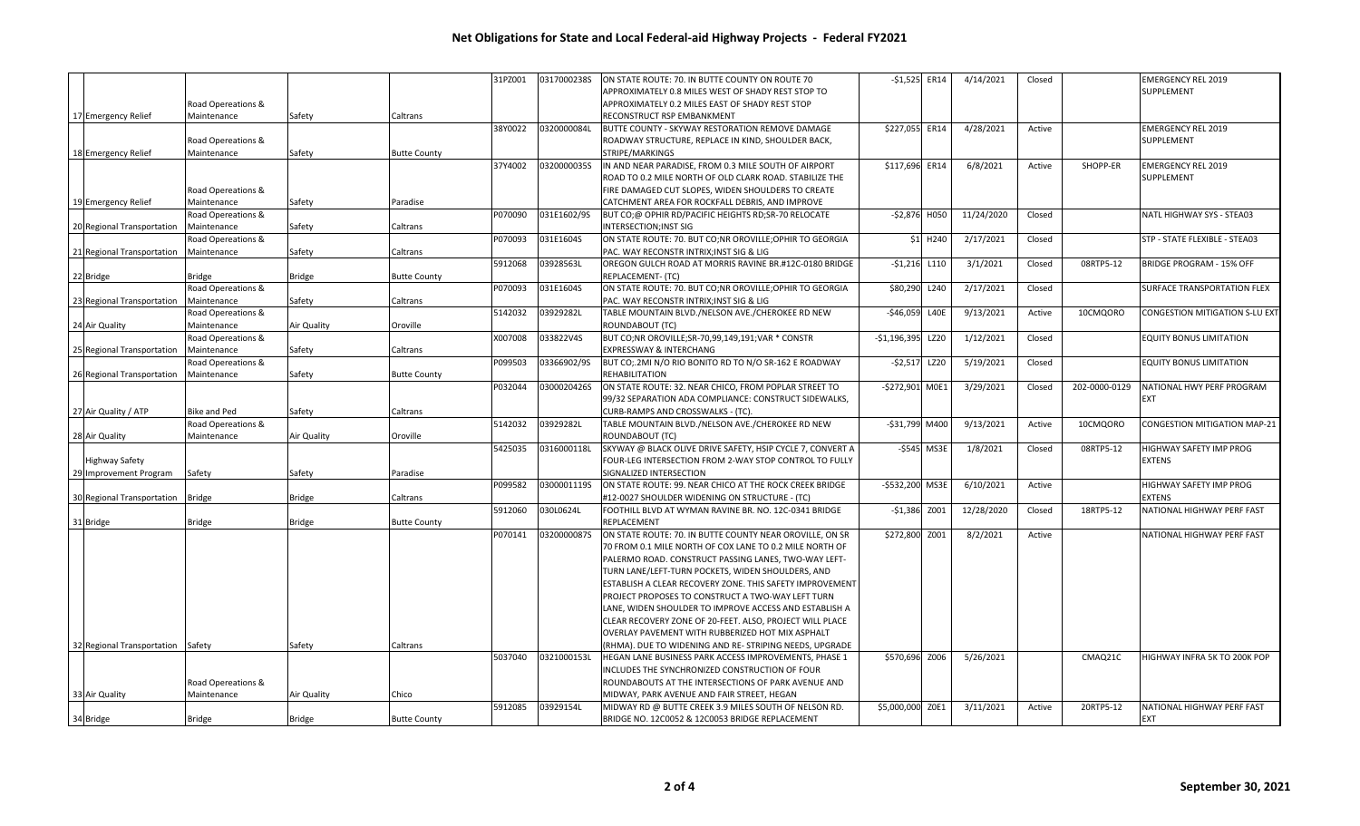|                            |                    |               |                     | 31PZ001 | 0317000238S | ON STATE ROUTE: 70. IN BUTTE COUNTY ON ROUTE 70            | $-$1,525$ ER14   |             | 4/14/2021  | Closed |               | <b>EMERGENCY REL 2019</b>             |
|----------------------------|--------------------|---------------|---------------------|---------|-------------|------------------------------------------------------------|------------------|-------------|------------|--------|---------------|---------------------------------------|
|                            |                    |               |                     |         |             | APPROXIMATELY 0.8 MILES WEST OF SHADY REST STOP TO         |                  |             |            |        |               | SUPPLEMENT                            |
|                            | Road Opereations & |               |                     |         |             | APPROXIMATELY 0.2 MILES EAST OF SHADY REST STOP            |                  |             |            |        |               |                                       |
| 17 Emergency Relief        | Maintenance        | Safety        | Caltrans            |         |             | RECONSTRUCT RSP EMBANKMENT                                 |                  |             |            |        |               |                                       |
|                            |                    |               |                     | 38Y0022 | 0320000084L | BUTTE COUNTY - SKYWAY RESTORATION REMOVE DAMAGE            | \$227,055 ER14   |             | 4/28/2021  | Active |               | <b>EMERGENCY REL 2019</b>             |
|                            | Road Opereations & |               |                     |         |             | ROADWAY STRUCTURE, REPLACE IN KIND, SHOULDER BACK,         |                  |             |            |        |               | SUPPLEMENT                            |
| 18 Emergency Relief        | Maintenance        | Safety        | <b>Butte County</b> |         |             | STRIPE/MARKINGS                                            |                  |             |            |        |               |                                       |
|                            |                    |               |                     | 37Y4002 | 0320000035S | IN AND NEAR PARADISE, FROM 0.3 MILE SOUTH OF AIRPORT       | \$117,696 ER14   |             | 6/8/2021   | Active | SHOPP-ER      | <b>EMERGENCY REL 2019</b>             |
|                            |                    |               |                     |         |             | ROAD TO 0.2 MILE NORTH OF OLD CLARK ROAD. STABILIZE THE    |                  |             |            |        |               | SUPPLEMENT                            |
|                            |                    |               |                     |         |             |                                                            |                  |             |            |        |               |                                       |
|                            | Road Opereations & |               |                     |         |             | FIRE DAMAGED CUT SLOPES, WIDEN SHOULDERS TO CREATE         |                  |             |            |        |               |                                       |
| 19 Emergency Relief        | Maintenance        | Safety        | Paradise            |         |             | CATCHMENT AREA FOR ROCKFALL DEBRIS, AND IMPROVE            |                  |             |            |        |               |                                       |
|                            | Road Opereations & |               |                     | P070090 | 031E1602/9S | BUT CO;@ OPHIR RD/PACIFIC HEIGHTS RD;SR-70 RELOCATE        | $-52,876$ H050   |             | 11/24/2020 | Closed |               | NATL HIGHWAY SYS - STEA03             |
| 20 Regional Transportation | Maintenance        | Safety        | Caltrans            |         |             | INTERSECTION; INST SIG                                     |                  |             |            |        |               |                                       |
|                            | Road Opereations & |               |                     | P070093 | 031E1604S   | ON STATE ROUTE: 70. BUT CO;NR OROVILLE;OPHIR TO GEORGIA    |                  | \$1 H240    | 2/17/2021  | Closed |               | STP - STATE FLEXIBLE - STEA03         |
| 21 Regional Transportation | Maintenance        | Safety        | Caltrans            |         |             | PAC. WAY RECONSTR INTRIX; INST SIG & LIG                   |                  |             |            |        |               |                                       |
|                            |                    |               |                     | 5912068 | 03928563L   | OREGON GULCH ROAD AT MORRIS RAVINE BR.#12C-0180 BRIDGE     | $-$1,216$ L110   |             | 3/1/2021   | Closed | 08RTP5-12     | <b>BRIDGE PROGRAM - 15% OFF</b>       |
| 22 Bridge                  | <b>Bridge</b>      | <b>Bridge</b> | <b>Butte County</b> |         |             | REPLACEMENT- (TC)                                          |                  |             |            |        |               |                                       |
|                            | Road Opereations & |               |                     | P070093 | 031E1604S   | ON STATE ROUTE: 70. BUT CO;NR OROVILLE;OPHIR TO GEORGIA    | \$80,290         | L240        | 2/17/2021  | Closed |               | SURFACE TRANSPORTATION FLEX           |
| 23 Regional Transportation | Maintenance        | Safety        | Caltrans            |         |             | PAC. WAY RECONSTR INTRIX;INST SIG & LIG                    |                  |             |            |        |               |                                       |
|                            | Road Opereations & |               |                     | 5142032 | 03929282L   | TABLE MOUNTAIN BLVD./NELSON AVE./CHEROKEE RD NEW           | $-$46,059$ L40E  |             | 9/13/2021  | Active | 10CMQORO      | <b>CONGESTION MITIGATION S-LU EXT</b> |
| 24 Air Quality             | Maintenance        | Air Quality   | Oroville            |         |             | ROUNDABOUT (TC)                                            |                  |             |            |        |               |                                       |
|                            | Road Opereations & |               |                     | X007008 | 033822V4S   | BUT CO;NR OROVILLE;SR-70,99,149,191;VAR * CONSTR           | $-$1,196,395$    | LZ20        | 1/12/2021  | Closed |               | <b>EQUITY BONUS LIMITATION</b>        |
| 25 Regional Transportation | Maintenance        | Safety        | Caltrans            |         |             | EXPRESSWAY & INTERCHANG                                    |                  |             |            |        |               |                                       |
|                            | Road Opereations & |               |                     | P099503 | 03366902/9S | BUT CO; 2MI N/O RIO BONITO RD TO N/O SR-162 E ROADWAY      | $-52,517$        | <b>LZ20</b> | 5/19/2021  | Closed |               | <b>EQUITY BONUS LIMITATION</b>        |
| 26 Regional Transportation | Maintenance        | Safety        | <b>Butte County</b> |         |             | REHABILITATION                                             |                  |             |            |        |               |                                       |
|                            |                    |               |                     | P032044 | 0300020426S | ON STATE ROUTE: 32. NEAR CHICO, FROM POPLAR STREET TO      | -\$272,901 MOE1  |             | 3/29/2021  | Closed | 202-0000-0129 | NATIONAL HWY PERF PROGRAM             |
|                            |                    |               |                     |         |             |                                                            |                  |             |            |        |               |                                       |
|                            |                    |               |                     |         |             | 99/32 SEPARATION ADA COMPLIANCE: CONSTRUCT SIDEWALKS,      |                  |             |            |        |               | <b>EXT</b>                            |
| 27 Air Quality / ATP       | Bike and Ped       | Safety        | Caltrans            |         |             | CURB-RAMPS AND CROSSWALKS - (TC).                          |                  |             |            |        |               |                                       |
|                            | Road Opereations & |               |                     | 5142032 | 03929282L   | TABLE MOUNTAIN BLVD./NELSON AVE./CHEROKEE RD NEW           | -\$31,799 M400   |             | 9/13/2021  | Active | 10CMQORO      | <b>CONGESTION MITIGATION MAP-21</b>   |
| 28 Air Quality             | Maintenance        | Air Quality   | Oroville            |         |             | ROUNDABOUT (TC)                                            |                  |             |            |        |               |                                       |
|                            |                    |               |                     | 5425035 | 0316000118L | SKYWAY @ BLACK OLIVE DRIVE SAFETY, HSIP CYCLE 7, CONVERT A | -\$545 MS3E      |             | 1/8/2021   | Closed | 08RTP5-12     | HIGHWAY SAFETY IMP PROG               |
| <b>Highway Safety</b>      |                    |               |                     |         |             | FOUR-LEG INTERSECTION FROM 2-WAY STOP CONTROL TO FULLY     |                  |             |            |        |               | <b>EXTENS</b>                         |
| 29 Improvement Program     | Safety             | Safety        | Paradise            |         |             | SIGNALIZED INTERSECTION                                    |                  |             |            |        |               |                                       |
|                            |                    |               |                     | P099582 | 0300001119S | ON STATE ROUTE: 99. NEAR CHICO AT THE ROCK CREEK BRIDGE    | -\$532,200 MS3E  |             | 6/10/2021  | Active |               | HIGHWAY SAFETY IMP PROG               |
| 30 Regional Transportation | <b>Bridge</b>      | Bridge        | Caltrans            |         |             | #12-0027 SHOULDER WIDENING ON STRUCTURE - (TC)             |                  |             |            |        |               | <b>EXTENS</b>                         |
|                            |                    |               |                     | 5912060 | 030L0624L   | FOOTHILL BLVD AT WYMAN RAVINE BR. NO. 12C-0341 BRIDGE      | $-51,386$        | Z001        | 12/28/2020 | Closed | 18RTP5-12     | NATIONAL HIGHWAY PERF FAST            |
| 31 Bridge                  | Bridge             | <b>Bridge</b> | <b>Butte County</b> |         |             | REPLACEMENT                                                |                  |             |            |        |               |                                       |
|                            |                    |               |                     | P070141 | 0320000087S | ON STATE ROUTE: 70. IN BUTTE COUNTY NEAR OROVILLE, ON SR   | \$272,800 Z001   |             | 8/2/2021   | Active |               | NATIONAL HIGHWAY PERF FAST            |
|                            |                    |               |                     |         |             | 70 FROM 0.1 MILE NORTH OF COX LANE TO 0.2 MILE NORTH OF    |                  |             |            |        |               |                                       |
|                            |                    |               |                     |         |             | PALERMO ROAD. CONSTRUCT PASSING LANES, TWO-WAY LEFT-       |                  |             |            |        |               |                                       |
|                            |                    |               |                     |         |             | TURN LANE/LEFT-TURN POCKETS, WIDEN SHOULDERS, AND          |                  |             |            |        |               |                                       |
|                            |                    |               |                     |         |             | ESTABLISH A CLEAR RECOVERY ZONE. THIS SAFETY IMPROVEMENT   |                  |             |            |        |               |                                       |
|                            |                    |               |                     |         |             | PROJECT PROPOSES TO CONSTRUCT A TWO-WAY LEFT TURN          |                  |             |            |        |               |                                       |
|                            |                    |               |                     |         |             | LANE, WIDEN SHOULDER TO IMPROVE ACCESS AND ESTABLISH A     |                  |             |            |        |               |                                       |
|                            |                    |               |                     |         |             |                                                            |                  |             |            |        |               |                                       |
|                            |                    |               |                     |         |             | CLEAR RECOVERY ZONE OF 20-FEET. ALSO, PROJECT WILL PLACE   |                  |             |            |        |               |                                       |
|                            |                    |               |                     |         |             | OVERLAY PAVEMENT WITH RUBBERIZED HOT MIX ASPHALT           |                  |             |            |        |               |                                       |
| 32 Regional Transportation | Safety             | Safety        | Caltrans            |         |             | (RHMA). DUE TO WIDENING AND RE- STRIPING NEEDS, UPGRADE    |                  |             |            |        |               |                                       |
|                            |                    |               |                     | 5037040 | 0321000153L | HEGAN LANE BUSINESS PARK ACCESS IMPROVEMENTS, PHASE 1      | \$570,696 Z006   |             | 5/26/2021  |        | CMAQ21C       | HIGHWAY INFRA 5K TO 200K POP          |
|                            |                    |               |                     |         |             | INCLUDES THE SYNCHRONIZED CONSTRUCTION OF FOUR             |                  |             |            |        |               |                                       |
|                            | Road Opereations & |               |                     |         |             | ROUNDABOUTS AT THE INTERSECTIONS OF PARK AVENUE AND        |                  |             |            |        |               |                                       |
| 33 Air Quality             | Maintenance        | Air Quality   | Chico               |         |             | MIDWAY, PARK AVENUE AND FAIR STREET, HEGAN                 |                  |             |            |        |               |                                       |
|                            |                    |               |                     | 5912085 | 03929154L   | MIDWAY RD @ BUTTE CREEK 3.9 MILES SOUTH OF NELSON RD.      | \$5,000,000 Z0E1 |             | 3/11/2021  | Active | 20RTP5-12     | NATIONAL HIGHWAY PERF FAST            |
| 34 Bridge                  | Bridge             | Bridge        | <b>Butte County</b> |         |             | BRIDGE NO. 12C0052 & 12C0053 BRIDGE REPLACEMENT            |                  |             |            |        |               | <b>EXT</b>                            |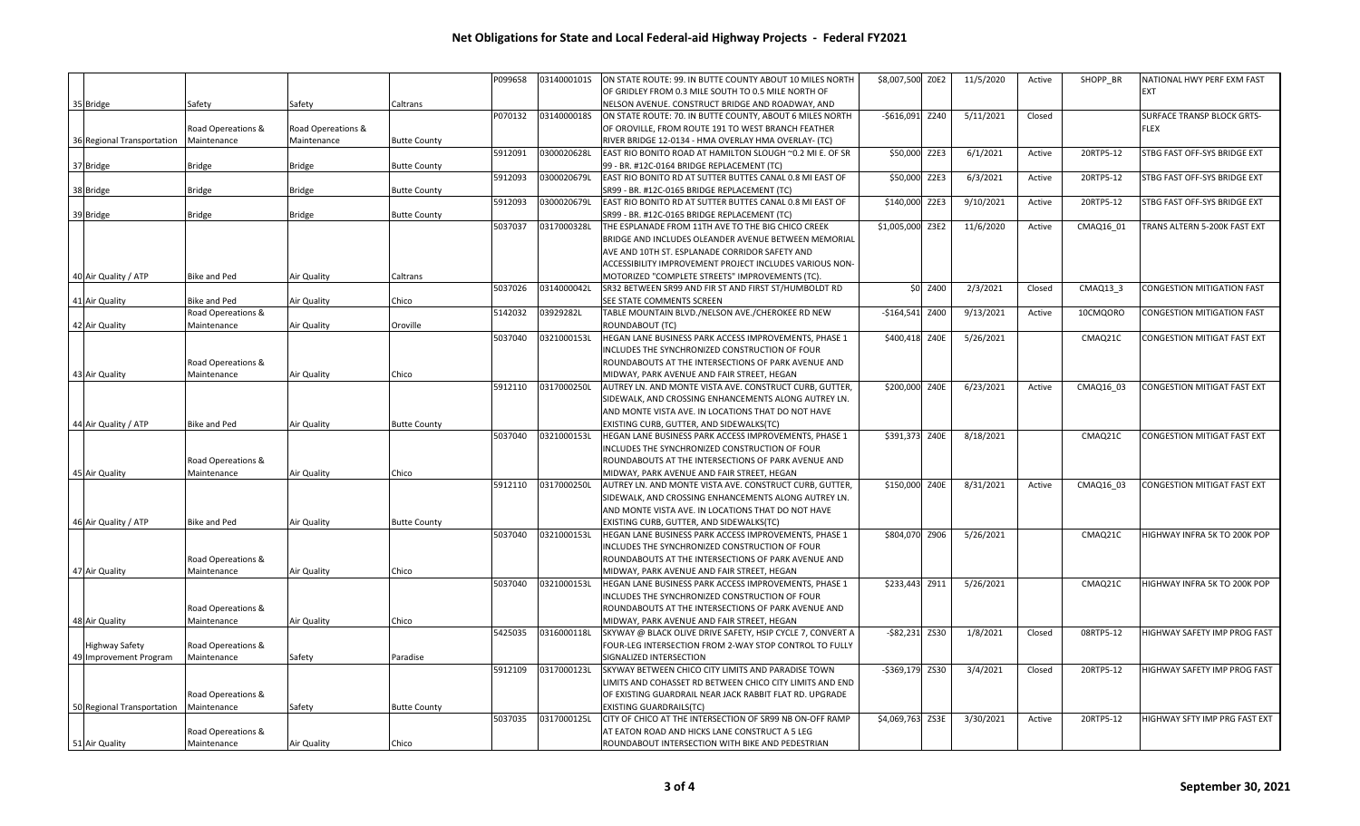|                            |                     |                    |                     | P099658 | 0314000101S | ON STATE ROUTE: 99. IN BUTTE COUNTY ABOUT 10 MILES NORTH   | \$8,007,500 ZOE2  |          | 11/5/2020 | Active | SHOPP BR  | NATIONAL HWY PERF EXM FAST         |
|----------------------------|---------------------|--------------------|---------------------|---------|-------------|------------------------------------------------------------|-------------------|----------|-----------|--------|-----------|------------------------------------|
|                            |                     |                    |                     |         |             | OF GRIDLEY FROM 0.3 MILE SOUTH TO 0.5 MILE NORTH OF        |                   |          |           |        |           | <b>EXT</b>                         |
| 35 Bridge                  | Safety              | Safety             | Caltrans            |         |             | NELSON AVENUE. CONSTRUCT BRIDGE AND ROADWAY, AND           |                   |          |           |        |           |                                    |
|                            |                     |                    |                     | P070132 | 0314000018S | ON STATE ROUTE: 70. IN BUTTE COUNTY, ABOUT 6 MILES NORTH   | $-$616,091$       | Z240     | 5/11/2021 | Closed |           | <b>SURFACE TRANSP BLOCK GRTS-</b>  |
|                            | Road Opereations &  | Road Opereations & |                     |         |             | OF OROVILLE, FROM ROUTE 191 TO WEST BRANCH FEATHER         |                   |          |           |        |           | <b>FLEX</b>                        |
| 36 Regional Transportation | Maintenance         | Maintenance        | <b>Butte County</b> |         |             | RIVER BRIDGE 12-0134 - HMA OVERLAY HMA OVERLAY- (TC)       |                   |          |           |        |           |                                    |
|                            |                     |                    |                     | 5912091 | 0300020628L | EAST RIO BONITO ROAD AT HAMILTON SLOUGH ~0.2 MI E. OF SR   | \$50,000 Z2E3     |          | 6/1/2021  | Active | 20RTP5-12 | STBG FAST OFF-SYS BRIDGE EXT       |
| 37 Bridge                  | Bridge              | Bridge             | <b>Butte County</b> |         |             | 99 - BR. #12C-0164 BRIDGE REPLACEMENT (TC)                 |                   |          |           |        |           |                                    |
|                            |                     |                    |                     | 5912093 | 0300020679L | EAST RIO BONITO RD AT SUTTER BUTTES CANAL 0.8 MI EAST OF   | \$50,000 Z2E3     |          | 6/3/2021  | Active | 20RTP5-12 | STBG FAST OFF-SYS BRIDGE EXT       |
| 38 Bridge                  | Bridge              | Bridge             | <b>Butte County</b> |         |             | SR99 - BR. #12C-0165 BRIDGE REPLACEMENT (TC)               |                   |          |           |        |           |                                    |
|                            |                     |                    |                     | 5912093 | 0300020679L | EAST RIO BONITO RD AT SUTTER BUTTES CANAL 0.8 MI EAST OF   | \$140,000 Z2E3    |          | 9/10/2021 | Active | 20RTP5-12 | STBG FAST OFF-SYS BRIDGE EXT       |
| 39 Bridge                  | Bridge              | Bridge             | <b>Butte County</b> |         |             | SR99 - BR. #12C-0165 BRIDGE REPLACEMENT (TC)               |                   |          |           |        |           |                                    |
|                            |                     |                    |                     | 5037037 | 0317000328L | THE ESPLANADE FROM 11TH AVE TO THE BIG CHICO CREEK         | \$1,005,000 Z3E2  |          | 11/6/2020 | Active | CMAQ16_01 | TRANS ALTERN 5-200K FAST EXT       |
|                            |                     |                    |                     |         |             | BRIDGE AND INCLUDES OLEANDER AVENUE BETWEEN MEMORIAL       |                   |          |           |        |           |                                    |
|                            |                     |                    |                     |         |             | AVE AND 10TH ST. ESPLANADE CORRIDOR SAFETY AND             |                   |          |           |        |           |                                    |
|                            |                     |                    |                     |         |             | ACCESSIBILITY IMPROVEMENT PROJECT INCLUDES VARIOUS NON-    |                   |          |           |        |           |                                    |
| 40 Air Quality / ATP       | Bike and Ped        | Air Quality        | Caltrans            |         |             | MOTORIZED "COMPLETE STREETS" IMPROVEMENTS (TC)             |                   |          |           |        |           |                                    |
|                            |                     |                    |                     | 5037026 | 0314000042L | SR32 BETWEEN SR99 AND FIR ST AND FIRST ST/HUMBOLDT RD      |                   | \$0 Z400 | 2/3/2021  | Closed | CMAQ13 3  | CONGESTION MITIGATION FAST         |
| 41 Air Quality             | <b>Bike and Ped</b> | Air Quality        | Chico               |         |             | SEE STATE COMMENTS SCREEN                                  |                   |          |           |        |           |                                    |
|                            | Road Opereations &  |                    |                     | 5142032 | 03929282L   | TABLE MOUNTAIN BLVD./NELSON AVE./CHEROKEE RD NEW           | $-$164,541$       | Z400     | 9/13/2021 | Active | 10CMQORO  | <b>CONGESTION MITIGATION FAST</b>  |
|                            |                     |                    |                     |         |             |                                                            |                   |          |           |        |           |                                    |
| 42 Air Quality             | Maintenance         | Air Quality        | Oroville            | 5037040 |             | ROUNDABOUT (TC)                                            |                   |          |           |        | CMAQ21C   | <b>CONGESTION MITIGAT FAST EXT</b> |
|                            |                     |                    |                     |         | 0321000153L | HEGAN LANE BUSINESS PARK ACCESS IMPROVEMENTS, PHASE 1      | \$400,418 Z40E    |          | 5/26/2021 |        |           |                                    |
|                            |                     |                    |                     |         |             | INCLUDES THE SYNCHRONIZED CONSTRUCTION OF FOUR             |                   |          |           |        |           |                                    |
|                            | Road Opereations &  |                    |                     |         |             | ROUNDABOUTS AT THE INTERSECTIONS OF PARK AVENUE AND        |                   |          |           |        |           |                                    |
| 43 Air Quality             | Maintenance         | Air Quality        | Chico               |         |             | MIDWAY, PARK AVENUE AND FAIR STREET, HEGAN                 |                   |          |           |        |           |                                    |
|                            |                     |                    |                     | 5912110 | 0317000250L | AUTREY LN. AND MONTE VISTA AVE. CONSTRUCT CURB, GUTTER,    | \$200,000 Z40E    |          | 6/23/2021 | Active | CMAQ16_03 | <b>CONGESTION MITIGAT FAST EXT</b> |
|                            |                     |                    |                     |         |             | SIDEWALK, AND CROSSING ENHANCEMENTS ALONG AUTREY LN.       |                   |          |           |        |           |                                    |
|                            |                     |                    |                     |         |             | AND MONTE VISTA AVE. IN LOCATIONS THAT DO NOT HAVE         |                   |          |           |        |           |                                    |
| 44 Air Quality / ATP       | <b>Bike and Ped</b> | Air Quality        | <b>Butte County</b> |         |             | EXISTING CURB, GUTTER, AND SIDEWALKS(TC)                   |                   |          |           |        |           |                                    |
|                            |                     |                    |                     | 5037040 | 0321000153L | HEGAN LANE BUSINESS PARK ACCESS IMPROVEMENTS, PHASE 1      | \$391,373 Z40E    |          | 8/18/2021 |        | CMAQ21C   | <b>CONGESTION MITIGAT FAST EXT</b> |
|                            |                     |                    |                     |         |             | INCLUDES THE SYNCHRONIZED CONSTRUCTION OF FOUR             |                   |          |           |        |           |                                    |
|                            | Road Opereations &  |                    |                     |         |             | ROUNDABOUTS AT THE INTERSECTIONS OF PARK AVENUE AND        |                   |          |           |        |           |                                    |
| 45 Air Quality             | Maintenance         | Air Quality        | Chico               |         |             | MIDWAY, PARK AVENUE AND FAIR STREET, HEGAN                 |                   |          |           |        |           |                                    |
|                            |                     |                    |                     | 5912110 | 0317000250L | AUTREY LN. AND MONTE VISTA AVE. CONSTRUCT CURB, GUTTER,    | \$150,000 Z40E    |          | 8/31/2021 | Active | CMAQ16 03 | CONGESTION MITIGAT FAST EXT        |
|                            |                     |                    |                     |         |             | SIDEWALK, AND CROSSING ENHANCEMENTS ALONG AUTREY LN.       |                   |          |           |        |           |                                    |
|                            |                     |                    |                     |         |             | AND MONTE VISTA AVE. IN LOCATIONS THAT DO NOT HAVE         |                   |          |           |        |           |                                    |
| 46 Air Quality / ATP       | <b>Bike and Ped</b> | Air Quality        | <b>Butte County</b> |         |             | EXISTING CURB, GUTTER, AND SIDEWALKS(TC)                   |                   |          |           |        |           |                                    |
|                            |                     |                    |                     | 5037040 | 0321000153L | HEGAN LANE BUSINESS PARK ACCESS IMPROVEMENTS, PHASE 1      | \$804,070 Z906    |          | 5/26/2021 |        | CMAQ21C   | HIGHWAY INFRA 5K TO 200K POP       |
|                            |                     |                    |                     |         |             | INCLUDES THE SYNCHRONIZED CONSTRUCTION OF FOUR             |                   |          |           |        |           |                                    |
|                            | Road Opereations &  |                    |                     |         |             | ROUNDABOUTS AT THE INTERSECTIONS OF PARK AVENUE AND        |                   |          |           |        |           |                                    |
| 47 Air Quality             | Maintenance         | Air Quality        | Chico               |         |             | MIDWAY, PARK AVENUE AND FAIR STREET, HEGAN                 |                   |          |           |        |           |                                    |
|                            |                     |                    |                     | 5037040 | 0321000153L | HEGAN LANE BUSINESS PARK ACCESS IMPROVEMENTS, PHASE 1      | \$233,443 Z911    |          | 5/26/2021 |        | CMAQ21C   | HIGHWAY INFRA 5K TO 200K POP       |
|                            |                     |                    |                     |         |             | INCLUDES THE SYNCHRONIZED CONSTRUCTION OF FOUR             |                   |          |           |        |           |                                    |
|                            | Road Opereations &  |                    |                     |         |             | ROUNDABOUTS AT THE INTERSECTIONS OF PARK AVENUE AND        |                   |          |           |        |           |                                    |
| 48 Air Quality             | Maintenance         | Air Quality        | Chico               |         |             | MIDWAY, PARK AVENUE AND FAIR STREET, HEGAN                 |                   |          |           |        |           |                                    |
|                            |                     |                    |                     | 5425035 | 0316000118L | SKYWAY @ BLACK OLIVE DRIVE SAFETY, HSIP CYCLE 7, CONVERT A | $-$ \$82,231 ZS30 |          | 1/8/2021  | Closed | 08RTP5-12 | HIGHWAY SAFETY IMP PROG FAST       |
| <b>Highway Safety</b>      | Road Opereations &  |                    |                     |         |             | FOUR-LEG INTERSECTION FROM 2-WAY STOP CONTROL TO FULLY     |                   |          |           |        |           |                                    |
| 49 Improvement Program     | Maintenance         | Safety             | Paradise            |         |             | SIGNALIZED INTERSECTION                                    |                   |          |           |        |           |                                    |
|                            |                     |                    |                     | 5912109 | 0317000123L | SKYWAY BETWEEN CHICO CITY LIMITS AND PARADISE TOWN         | -\$369,179 ZS30   |          | 3/4/2021  | Closed | 20RTP5-12 | HIGHWAY SAFETY IMP PROG FAST       |
|                            |                     |                    |                     |         |             | LIMITS AND COHASSET RD BETWEEN CHICO CITY LIMITS AND END   |                   |          |           |        |           |                                    |
|                            | Road Opereations &  |                    |                     |         |             | OF EXISTING GUARDRAIL NEAR JACK RABBIT FLAT RD. UPGRADE    |                   |          |           |        |           |                                    |
| 50 Regional Transportation | Maintenance         | Safety             | <b>Butte County</b> |         |             | EXISTING GUARDRAILS(TC)                                    |                   |          |           |        |           |                                    |
|                            |                     |                    |                     | 5037035 | 0317000125L | CITY OF CHICO AT THE INTERSECTION OF SR99 NB ON-OFF RAMP   | \$4,069,763 ZS3E  |          | 3/30/2021 | Active | 20RTP5-12 | HIGHWAY SFTY IMP PRG FAST EXT      |
|                            | Road Opereations &  |                    |                     |         |             | AT EATON ROAD AND HICKS LANE CONSTRUCT A 5 LEG             |                   |          |           |        |           |                                    |
| 51 Air Quality             | Maintenance         | Air Quality        | Chico               |         |             | ROUNDABOUT INTERSECTION WITH BIKE AND PEDESTRIAN           |                   |          |           |        |           |                                    |